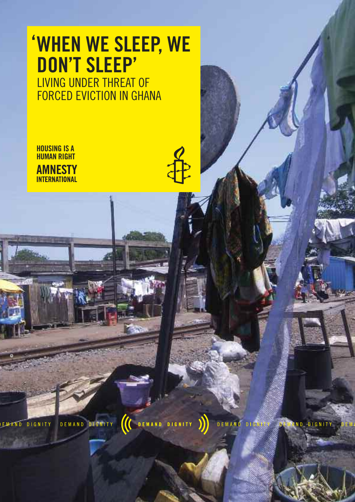# **When We sleep, We 'don't sleep'**

living under threat of forced eviction in ghana

DEMAND DIGNITY

**housing is a human right AMNESTY INTERNATIONAL** 

**©**

EMAND DIGNITY

**IC** DEMAND DIGNITY

**DEMAND** 

ND DIGNITY  $D<sub>1</sub>$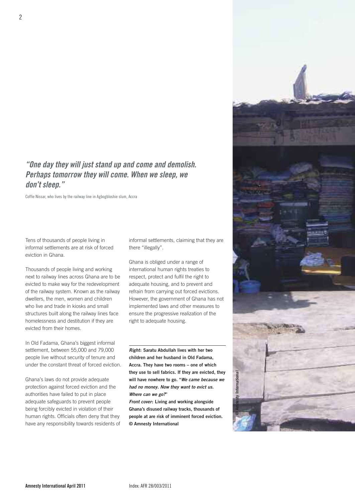## **"One day they will just stand up and come and demolish. Perhaps tomorrow they will come. When we sleep, we don't sleep."**

Coffie Nissar, who lives by the railway line in Agbogbloshie slum, Accra

Tens of thousands of people living in informal settlements are at risk of forced eviction in Ghana.

Thousands of people living and working next to railway lines across Ghana are to be evicted to make way for the redevelopment of the railway system. Known as the railway dwellers, the men, women and children who live and trade in kiosks and small structures built along the railway lines face homelessness and destitution if they are evicted from their homes.

In Old Fadama, Ghana's biggest informal settlement, between 55,000 and 79,000 people live without security of tenure and under the constant threat of forced eviction.

Ghana's laws do not provide adequate protection against forced eviction and the authorities have failed to put in place adequate safeguards to prevent people being forcibly evicted in violation of their human rights. Officials often deny that they have any responsibility towards residents of informal settlements, claiming that they are there "illegally".

Ghana is obliged under a range of international human rights treaties to respect, protect and fulfil the right to adequate housing, and to prevent and refrain from carrying out forced evictions. However, the government of Ghana has not implemented laws and other measures to ensure the progressive realization of the right to adequate housing.

**Right: Saratu Abdullah lives with her two children and her husband in Old Fadama, Accra. They have two rooms – one of which they use to sell fabrics. If they are evicted, they will have nowhere to go. "We came because we had no money. Now they want to evict us. Where can we go?"**

**Front cover: Living and working alongside Ghana's disused railway tracks, thousands of people at are risk of imminent forced eviction. © Amnesty International**

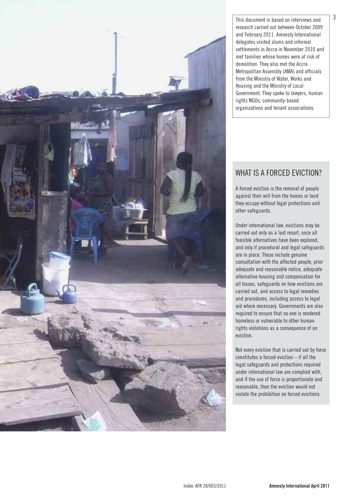

This document is based on interviews and research carried out between october 2009 and february 2011. amnesty international delegates visited slums and informal settlements in Accra in November 2010 and met families whose homes were at risk of demolition. They also met the Accra Metropolitan assembly (aMa) and officials from the Ministry of Water, Works and housing and the Ministry of local Government. They spoke to lawyers, human rights NGOs, community-based organizations and tenant associations.

# WHAT IS A FORCED EVICTION?

a forced eviction is the removal of people against their will from the homes or land they occupy without legal protections and other safeguards.

Under international law, evictions may be carried out only as a last resort, once all feasible alternatives have been explored, and only if procedural and legal safeguards are in place. These include genuine consultation with the affected people, prior adequate and reasonable notice, adequate alternative housing and compensation for all losses, safeguards on how evictions are carried out, and access to legal remedies and procedures, including access to legal aid where necessary. governments are also required to ensure that no one is rendered homeless or vulnerable to other human rights violations as a consequence of an eviction.

Not every eviction that is carried out by force constitutes a forced eviction – if all the legal safeguards and protections required under international law are complied with, and if the use of force is proportionate and reasonable, then the eviction would not violate the prohibition on forced evictions.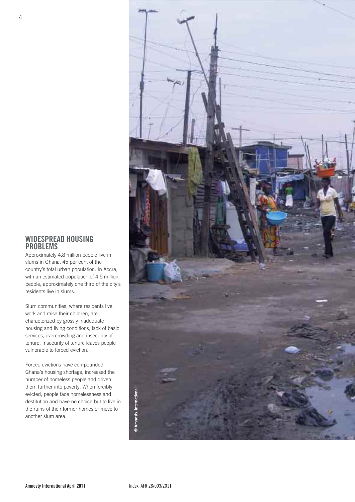### **Widespread housing proBlems**

Approximately 4.8 million people live in slums in Ghana, 45 per cent of the country's total urban population. In Accra, with an estimated population of 4.5 million people, approximately one third of the city's residents live in slums.

Slum communities, where residents live, work and raise their children, are characterized by grossly inadequate housing and living conditions, lack of basic services, overcrowding and insecurity of tenure. Insecurity of tenure leaves people vulnerable to forced eviction.

Forced evictions have compounded Ghana's housing shortage, increased the number of homeless people and driven them further into poverty. When forcibly evicted, people face homelessness and destitution and have no choice but to live in the ruins of their former homes or move to another slum area.

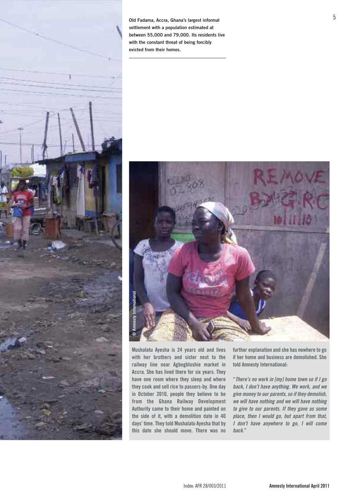

**Old Fadama, Accra, Ghana's largest informal settlement with a population estimated at between 55,000 and 79,000. Its residents live with the constant threat of being forcibly evicted from their homes.**



**mushalatu ayesha is 24 years old and lives with her brothers and sister next to the railway line near agbogbloshie market in accra. she has lived there for six years. they have one room where they sleep and where they cook and sell rice to passers-by. one day in october 2010, people they believe to be from the ghana railway development authority came to their home and painted on the side of it, with a demolition date in 40 days' time. they told mushalatu ayesha that by this date she should move. there was no**

**further explanation and she has nowhere to go if her home and business are demolished. she told amnesty international:**

**"There's no work in [my] home town so if I go back, I don't have anything. We work, and we give moneyto our parents,so if they demolish, we will have nothing and we will have nothing to give to our parents. If they gave us some place, then I would go, but apart from that, I don't have anywhere to go, I will come back."**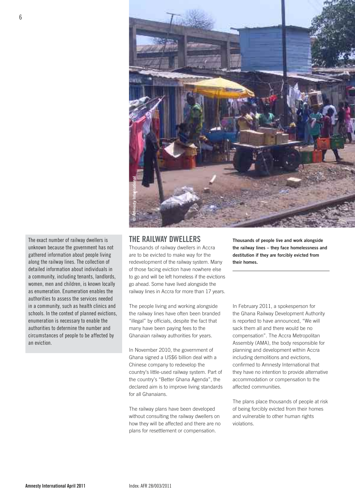

The exact number of railway dwellers is unknown because the government has not gathered information about people living along the railway lines. The collection of detailed information about individuals in a community, including tenants, landlords, women, men and children, is known locally as enumeration. Fnumeration enables the authorities to assess the services needed in a community, such as health clinics and schools. in the context of planned evictions, enumeration is necessary to enable the authorities to determine the number and circumstances of people to be affected by an eviction.

#### **the railWaY dWellers**

Thousands of railway dwellers in Accra are to be evicted to make way for the redevelopment of the railway system. Many of those facing eviction have nowhere else to go and will be left homeless if the evictions go ahead. Some have lived alongside the railway lines in Accra for more than 17 years.

The people living and working alongside the railway lines have often been branded "illegal" by officials, despite the fact that many have been paying fees to the Ghanaian railway authorities for years.

In November 2010, the government of Ghana signed a US\$6 billion deal with a Chinese company to redevelop the country's little-used railway system. Part of the country's "Better Ghana Agenda", the declared aim is to improve living standards for all Ghanaians.

The railway plans have been developed without consulting the railway dwellers on how they will be affected and there are no plans for resettlement or compensation.

**Thousands of people live and work alongside the railway lines – they face homelessness and destitution if they are forcibly evicted from their homes.**

In February 2011, a spokesperson for the Ghana Railway Development Authority is reported to have announced, "We will sack them all and there would be no compensation". The Accra Metropolitan Assembly (AMA), the body responsible for planning and development within Accra including demolitions and evictions, confirmed to Amnesty International that they have no intention to provide alternative accommodation or compensation to the affected communities.

The plans place thousands of people at risk of being forcibly evicted from their homes and vulnerable to other human rights violations.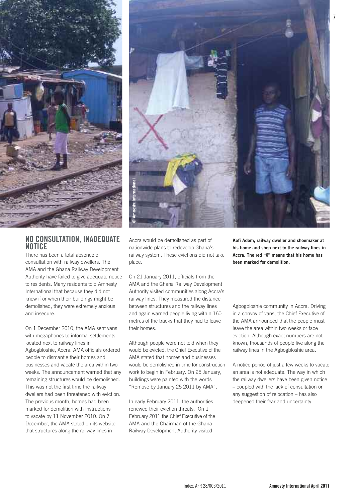

## **no Consultation, inadeQuate notiCe**

There has been a total absence of consultation with railway dwellers. The AMA and the Ghana Railway Development Authority have failed to give adequate notice to residents. Many residents told Amnesty International that because they did not know if or when their buildings might be demolished, they were extremely anxious and insecure.

On 1 December 2010, the AMA sent vans with megaphones to informal settlements located next to railway lines in Agbogbloshie, Accra. AMA officials ordered people to dismantle their homes and businesses and vacate the area within two weeks. The announcement warned that any remaining structures would be demolished. This was not the first time the railway dwellers had been threatened with eviction. The previous month, homes had been marked for demolition with instructions to vacate by 11 November 2010. On 7 December, the AMA stated on its website that structures along the railway lines in



Accra would be demolished as part of nationwide plans to redevelop Ghana's railway system. These evictions did not take place.

On 21 January 2011, officials from the AMA and the Ghana Railway Development Authority visited communities along Accra's railway lines. They measured the distance between structures and the railway lines and again warned people living within 160 metres of the tracks that they had to leave their homes.

Although people were not told when they would be evicted, the Chief Executive of the AMA stated that homes and businesses would be demolished in time for construction work to begin in February. On 25 January, buildings were painted with the words "Remove by January 25 2011 by AMA".

In early February 2011, the authorities renewed their eviction threats. On 1 February 2011 the Chief Executive of the AMA and the Chairman of the Ghana Railway Development Authority visited

**Kofi Adom, railway dweller and shoemaker at his home and shop next to the railway lines in Accra. The red "X" means that his home has been marked for demolition.**

Agbogbloshie community in Accra. Driving in a convoy of vans, the Chief Executive of the AMA announced that the people must leave the area within two weeks or face eviction. Although exact numbers are not known, thousands of people live along the railway lines in the Agbogbloshie area.

A notice period of just a few weeks to vacate an area is not adequate. The way in which the railway dwellers have been given notice – coupled with the lack of consultation or any suggestion of relocation – has also deepened their fear and uncertainty.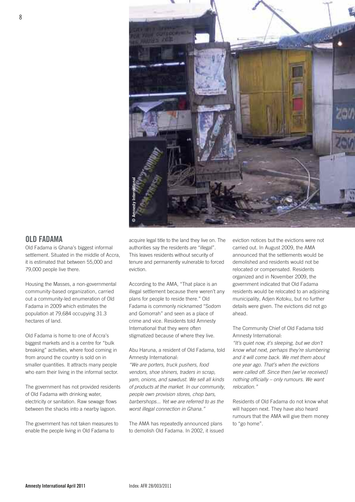

## **old Fadama**

Old Fadama is Ghana's biggest informal settlement. Situated in the middle of Accra, it is estimated that between 55,000 and 79,000 people live there.

Housing the Masses, a non-governmental community-based organization, carried out a community-led enumeration of Old Fadama in 2009 which estimates the population at 79,684 occupying 31.3 hectares of land.

Old Fadama is home to one of Accra's biggest markets and is a centre for "bulk breaking" activities, where food coming in from around the country is sold on in smaller quantities. It attracts many people who earn their living in the informal sector.

The government has not provided residents of Old Fadama with drinking water, electricity or sanitation. Raw sewage flows between the shacks into a nearby lagoon.

The government has not taken measures to enable the people living in Old Fadama to

acquire legal title to the land they live on. The authorities say the residents are "illegal". This leaves residents without security of tenure and permanently vulnerable to forced eviction.

According to the AMA, "That place is an illegal settlement because there weren't any plans for people to reside there." Old Fadama is commonly nicknamed "Sodom and Gomorrah" and seen as a place of crime and vice. Residents told Amnesty International that they were often stigmatized because of where they live.

Abu Haruna, a resident of Old Fadama, told Amnesty International:

"We are porters, truck pushers, food vendors, shoe shiners, traders in scrap, yam, onions, and sawdust. We sell all kinds of products at the market. In our community, people own provision stores, chop bars, barbershops... Yet we are referred to as the worst illegal connection in Ghana."

The AMA has repeatedly announced plans to demolish Old Fadama. In 2002, it issued eviction notices but the evictions were not carried out. In August 2009, the AMA announced that the settlements would be demolished and residents would not be relocated or compensated. Residents organized and in November 2009, the government indicated that Old Fadama residents would be relocated to an adjoining municipality, Adjen Kotoku, but no further details were given. The evictions did not go ahead.

The Community Chief of Old Fadama told Amnesty International:

"It's quiet now, it's sleeping, but we don't know what next, perhaps they're slumbering and it will come back. We met them about one year ago. That's when the evictions were called off. Since then [we've received] nothing officially – only rumours. We want relocation."

Residents of Old Fadama do not know what will happen next. They have also heard rumours that the AMA will give them money to "go home".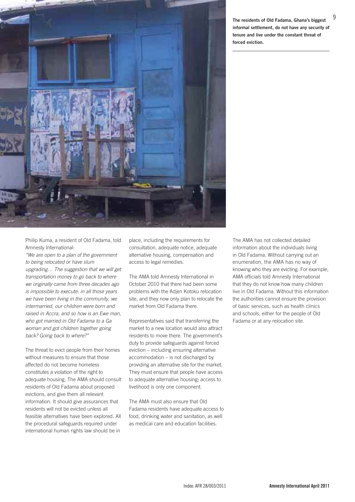

9 **The residents of Old Fadama, Ghana's biggest informal settlement, do not have any security of tenure and live under the constant threat of forced eviction.**

Philip Kuma, a resident of Old Fadama, told Amnesty International:

"We are open to a plan of the government to being relocated or have slum upgrading… The suggestion that we will get transportation money to go back to where we originally came from three decades ago is impossible to execute: in all those years we have been living in the community, we intermarried, our children were born and raised in Accra, and so how is an Ewe man, who got married in Old Fadama to a Ga woman and got children together going back? Going back to where?"

The threat to evict people from their homes without measures to ensure that those affected do not become homeless constitutes a violation of the right to adequate housing. The AMA should consult residents of Old Fadama about proposed evictions, and give them all relevant information. It should give assurances that residents will not be evicted unless all feasible alternatives have been explored. All the procedural safeguards required under international human rights law should be in

place, including the requirements for consultation, adequate notice, adequate alternative housing, compensation and access to legal remedies.

The AMA told Amnesty International in October 2010 that there had been some problems with the Adjen Kotoku relocation site, and they now only plan to relocate the market from Old Fadama there.

Representatives said that transferring the market to a new location would also attract residents to move there. The government's duty to provide safeguards against forced eviction – including ensuring alternative accommodation – is not discharged by providing an alternative site for the market. They must ensure that people have access to adequate alternative housing; access to livelihood is only one component.

The AMA must also ensure that Old Fadama residents have adequate access to food, drinking water and sanitation, as well as medical care and education facilities.

The AMA has not collected detailed information about the individuals living in Old Fadama. Without carrying out an enumeration, the AMA has no way of knowing who they are evicting. For example, AMA officials told Amnesty International that they do not know how many children live in Old Fadama. Without this information the authorities cannot ensure the provision of basic services, such as health clinics and schools, either for the people of Old Fadama or at any relocation site.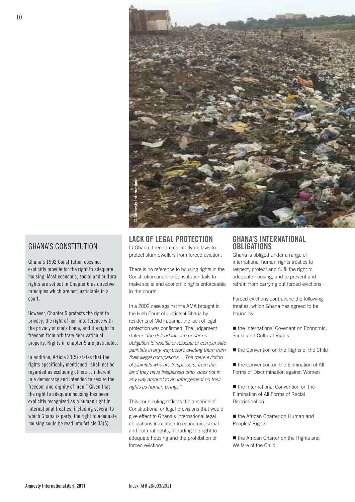

## ghana's constitution

ghana's 1992 constitution does not explicitly provide for the right to adequate housing. Most economic, social and cultural rights are set out in chapter 6 as directive principles which are not justiciable in a court.

however, chapter 5 protects the right to privacy, the right of non-interference with the privacy of one's home, and the right to freedom from arbitrary deprivation of property. Rights in chapter 5 are justiciable.

in addition, article 33(5) states that the rights specifically mentioned "shall not be regarded as excluding others… inherent in a democracy and intended to secure the freedom and dignity of man." Given that the right to adequate housing has been explicitly recognized as a human right in international treaties, including several to which ghana is party, the right to adequate housing could be read into Article 33(5).

#### **laCK oF legal proteCtion**

In Ghana, there are currently no laws to protect slum dwellers from forced eviction.

There is no reference to housing rights in the Constitution and the Constitution fails to make social and economic rights enforceable in the courts.

In a 2002 case against the AMA brought in the High Court of Justice of Ghana by residents of Old Fadama, the lack of legal protection was confirmed. The judgement stated: "the defendants are under no obligation to resettle or relocate or compensate plaintiffs in any way before evicting them from their illegal occupations… The mere eviction of plaintiffs who are trespassers, from the land they have trespassed onto, does not in any way amount to an infringement on their rights as human beings."

This court ruling reflects the absence of Constitutional or legal provisions that would give effect to Ghana's international legal obligations in relation to economic, social and cultural rights, including the right to adequate housing and the prohibition of forced evictions.

## **ghana's international oBligations**

Ghana is obliged under a range of international human rights treaties to respect, protect and fulfil the right to adequate housing, and to prevent and refrain from carrying out forced evictions.

Forced evictions contravene the following treaties, which Ghana has agreed to be bound by:

■ the International Covenant on Economic. Social and Cultural Rights

■ the Convention on the Rights of the Child

■ the Convention on the Flimination of All Forms of Discrimination against Women

■ the International Convention on the Elimination of All Forms of Racial **Discrimination** 

■ the African Charter on Human and Peoples' Rights

■ the African Charter on the Rights and Welfare of the Child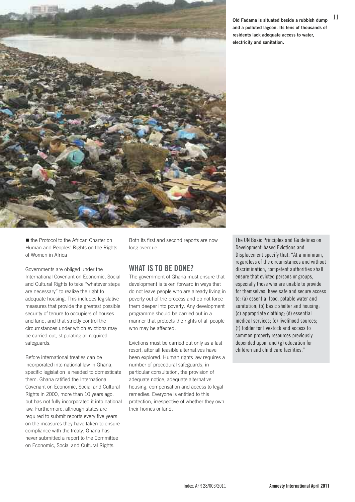

11 **Old Fadama is situated beside <sup>a</sup> rubbish dump and a polluted lagoon. Its tens of thousands of residents lack adequate access to water, electricity and sanitation.**

■ the Protocol to the African Charter on Human and Peoples' Rights on the Rights of Women in Africa

Governments are obliged under the International Covenant on Economic, Social and Cultural Rights to take "whatever steps are necessary" to realize the right to adequate housing. This includes legislative measures that provide the greatest possible security of tenure to occupiers of houses and land, and that strictly control the circumstances under which evictions may be carried out, stipulating all required safeguards.

Before international treaties can be incorporated into national law in Ghana, specific legislation is needed to domesticate them. Ghana ratified the International Covenant on Economic, Social and Cultural Rights in 2000, more than 10 years ago, but has not fully incorporated it into national law. Furthermore, although states are required to submit reports every five years on the measures they have taken to ensure compliance with the treaty, Ghana has never submitted a report to the Committee on Economic, Social and Cultural Rights.

Both its first and second reports are now long overdue.

## **What is to Be done?**

The government of Ghana must ensure that development is taken forward in ways that do not leave people who are already living in poverty out of the process and do not force them deeper into poverty. Any development programme should be carried out in a manner that protects the rights of all people who may be affected.

Evictions must be carried out only as a last resort, after all feasible alternatives have been explored. Human rights law requires a number of procedural safeguards, in particular consultation, the provision of adequate notice, adequate alternative housing, compensation and access to legal remedies. Everyone is entitled to this protection, irrespective of whether they own their homes or land.

The UN Basic Principles and Guidelines on Development-based Evictions and Displacement specify that: "At a minimum, regardless of the circumstances and without discrimination, competent authorities shall ensure that evicted persons or groups, especially those who are unable to provide for themselves, have safe and secure access to: (a) essential food, potable water and sanitation; (b) basic shelter and housing; (c) appropriate clothing; (d) essential medical services; (e) livelihood sources; (f) fodder for livestock and access to common property resources previously depended upon; and (g) education for children and child care facilities."